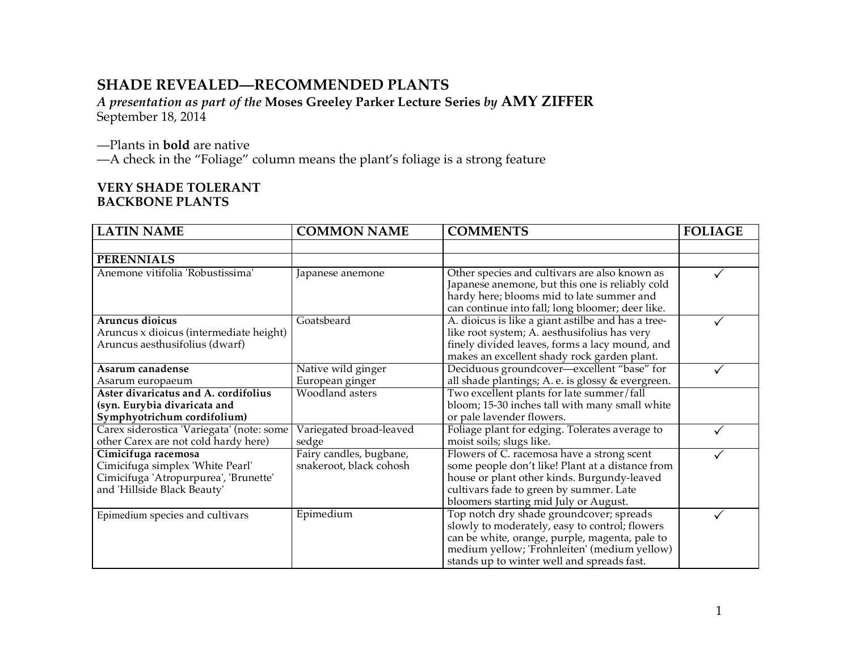# **SHADE REVEALED—RECOMMENDED PLANTS**

*A presentation as part of the* **Moses Greeley Parker Lecture Series** *by* **AMY ZIFFER** September 18, 2014

—Plants in **bold** are native

—A check in the "Foliage" column means the plant's foliage is a strong feature

# **VERY SHADE TOLERANT BACKBONE PLANTS**

| <b>LATIN NAME</b>                                                                                                               | <b>COMMON NAME</b>                                 | <b>COMMENTS</b>                                                                                                                                                                                                                            | <b>FOLIAGE</b> |
|---------------------------------------------------------------------------------------------------------------------------------|----------------------------------------------------|--------------------------------------------------------------------------------------------------------------------------------------------------------------------------------------------------------------------------------------------|----------------|
|                                                                                                                                 |                                                    |                                                                                                                                                                                                                                            |                |
| <b>PERENNIALS</b>                                                                                                               |                                                    |                                                                                                                                                                                                                                            |                |
| Anemone vitifolia 'Robustissima'                                                                                                | Japanese anemone                                   | Other species and cultivars are also known as<br>Japanese anemone, but this one is reliably cold<br>hardy here; blooms mid to late summer and<br>can continue into fall; long bloomer; deer like.                                          |                |
| Aruncus dioicus<br>Aruncus x dioicus (intermediate height)<br>Aruncus aesthusifolius (dwarf)                                    | Goatsbeard                                         | A. dioicus is like a giant astilbe and has a tree-<br>like root system; A. aesthusifolius has very<br>finely divided leaves, forms a lacy mound, and<br>makes an excellent shady rock garden plant.                                        |                |
| Asarum canadense                                                                                                                | Native wild ginger                                 | Deciduous groundcover-excellent "base" for                                                                                                                                                                                                 |                |
| Asarum europaeum                                                                                                                | European ginger                                    | all shade plantings; A. e. is glossy & evergreen.                                                                                                                                                                                          |                |
| Aster divaricatus and A. cordifolius<br>(syn. Eurybia divaricata and<br>Symphyotrichum cordifolium)                             | Woodland asters                                    | Two excellent plants for late summer/fall<br>bloom; 15-30 inches tall with many small white<br>or pale lavender flowers.                                                                                                                   |                |
| Carex siderostica 'Variegata' (note: some<br>other Carex are not cold hardy here)                                               | Variegated broad-leaved<br>sedge                   | Foliage plant for edging. Tolerates average to<br>moist soils; slugs like.                                                                                                                                                                 |                |
| Cimicifuga racemosa<br>Cimicifuga simplex 'White Pearl'<br>Cimicifuga 'Atropurpurea', 'Brunette'<br>and 'Hillside Black Beauty' | Fairy candles, bugbane,<br>snakeroot, black cohosh | Flowers of C. racemosa have a strong scent<br>some people don't like! Plant at a distance from<br>house or plant other kinds. Burgundy-leaved<br>cultivars fade to green by summer. Late<br>bloomers starting mid July or August.          |                |
| Epimedium species and cultivars                                                                                                 | Epimedium                                          | Top notch dry shade groundcover; spreads<br>slowly to moderately, easy to control; flowers<br>can be white, orange, purple, magenta, pale to<br>medium yellow; 'Frohnleiten' (medium yellow)<br>stands up to winter well and spreads fast. |                |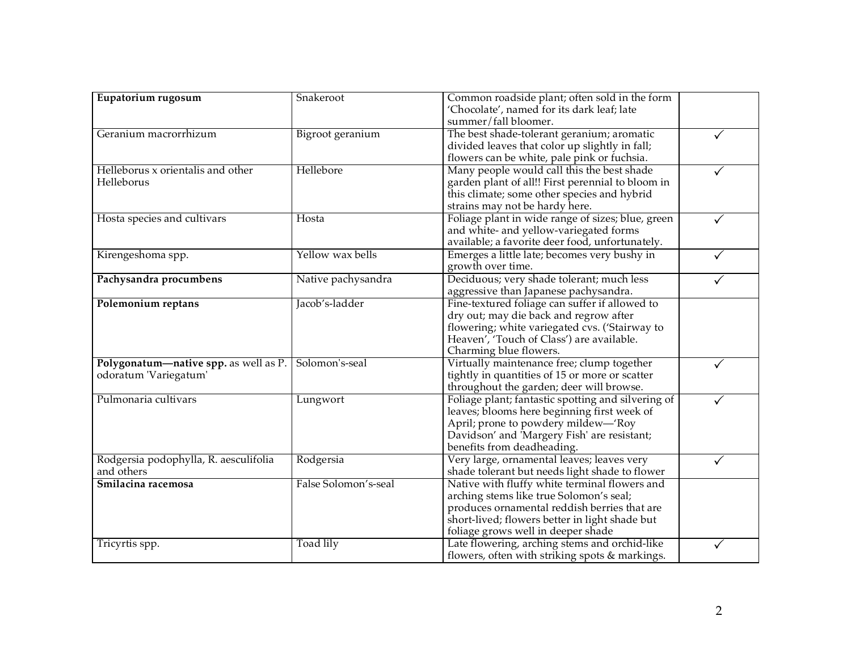| Eupatorium rugosum                                             | Snakeroot            | Common roadside plant; often sold in the form<br>'Chocolate', named for its dark leaf; late<br>summer/fall bloomer.                                                                                                              |   |
|----------------------------------------------------------------|----------------------|----------------------------------------------------------------------------------------------------------------------------------------------------------------------------------------------------------------------------------|---|
| Geranium macrorrhizum                                          | Bigroot geranium     | The best shade-tolerant geranium; aromatic<br>divided leaves that color up slightly in fall;<br>flowers can be white, pale pink or fuchsia.                                                                                      |   |
| Helleborus x orientalis and other<br>Helleborus                | Hellebore            | Many people would call this the best shade<br>garden plant of all!! First perennial to bloom in<br>this climate; some other species and hybrid<br>strains may not be hardy here.                                                 |   |
| Hosta species and cultivars                                    | Hosta                | Foliage plant in wide range of sizes; blue, green<br>and white- and yellow-variegated forms<br>available; a favorite deer food, unfortunately.                                                                                   | ✓ |
| Kirengeshoma spp.                                              | Yellow wax bells     | Emerges a little late; becomes very bushy in<br>growth over time.                                                                                                                                                                | ✓ |
| Pachysandra procumbens                                         | Native pachysandra   | Deciduous; very shade tolerant; much less<br>aggressive than Japanese pachysandra.                                                                                                                                               |   |
| Polemonium reptans                                             | Jacob's-ladder       | Fine-textured foliage can suffer if allowed to<br>dry out; may die back and regrow after<br>flowering; white variegated cvs. ('Stairway to<br>Heaven', 'Touch of Class') are available.<br>Charming blue flowers.                |   |
| Polygonatum-native spp. as well as P.<br>odoratum 'Variegatum' | Solomon's-seal       | Virtually maintenance free; clump together<br>tightly in quantities of 15 or more or scatter<br>throughout the garden; deer will browse.                                                                                         |   |
| Pulmonaria cultivars                                           | Lungwort             | Foliage plant; fantastic spotting and silvering of<br>leaves; blooms here beginning first week of<br>April; prone to powdery mildew—'Roy<br>Davidson' and 'Margery Fish' are resistant;<br>benefits from deadheading.            |   |
| Rodgersia podophylla, R. aesculifolia<br>and others            | Rodgersia            | Very large, ornamental leaves; leaves very<br>shade tolerant but needs light shade to flower                                                                                                                                     |   |
| Smilacina racemosa                                             | False Solomon's-seal | Native with fluffy white terminal flowers and<br>arching stems like true Solomon's seal;<br>produces ornamental reddish berries that are<br>short-lived; flowers better in light shade but<br>foliage grows well in deeper shade |   |
| Tricyrtis spp.                                                 | Toad lily            | Late flowering, arching stems and orchid-like<br>flowers, often with striking spots $&$ markings.                                                                                                                                |   |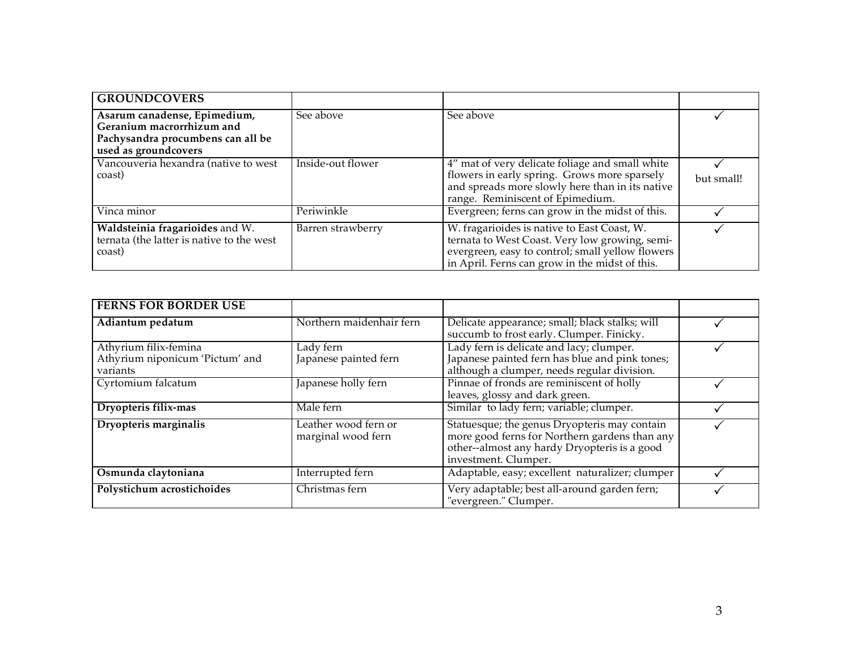| <b>GROUNDCOVERS</b>                                                                                                    |                   |                                                                                                                                                                                                     |            |
|------------------------------------------------------------------------------------------------------------------------|-------------------|-----------------------------------------------------------------------------------------------------------------------------------------------------------------------------------------------------|------------|
| Asarum canadense, Epimedium,<br>Geranium macrorrhizum and<br>Pachysandra procumbens can all be<br>used as groundcovers | See above         | See above                                                                                                                                                                                           |            |
| Vancouveria hexandra (native to west<br>coast)                                                                         | Inside-out flower | 4" mat of very delicate foliage and small white<br>flowers in early spring. Grows more sparsely<br>and spreads more slowly here than in its native<br>range. Reminiscent of Epimedium.              | but small! |
| Vinca minor                                                                                                            | Periwinkle        | Evergreen; ferns can grow in the midst of this.                                                                                                                                                     |            |
| Waldsteinia fragarioides and W.<br>ternata (the latter is native to the west<br>coast)                                 | Barren strawberry | W. fragarioides is native to East Coast, W.<br>ternata to West Coast. Very low growing, semi-<br>evergreen, easy to control; small yellow flowers<br>in April. Ferns can grow in the midst of this. |            |

| <b>FERNS FOR BORDER USE</b>     |                               |                                                                       |  |
|---------------------------------|-------------------------------|-----------------------------------------------------------------------|--|
| Adiantum pedatum                | Northern maidenhair fern      | Delicate appearance; small; black stalks; will                        |  |
|                                 |                               | succumb to frost early. Clumper. Finicky.                             |  |
| Athyrium filix-femina           | Lady fern                     | Lady fern is delicate and lacy; clumper.                              |  |
| Athyrium niponicum 'Pictum' and | Japanese painted fern         | Japanese painted fern has blue and pink tones;                        |  |
| variants                        |                               | although a clumper, needs regular division.                           |  |
| Cyrtomium falcatum              | Japanese holly fern           | Pinnae of fronds are reminiscent of holly                             |  |
|                                 |                               | leaves, glossy and dark green.                                        |  |
| Dryopteris filix-mas            | $\overline{\text{Male}}$ fern | Similar to lady fern; variable; clumper.                              |  |
| Dryopteris marginalis           | Leather wood fern or          | Statuesque; the genus Dryopteris may contain                          |  |
|                                 | marginal wood fern            | more good ferns for Northern gardens than any                         |  |
|                                 |                               | other--almost any hardy Dryopteris is a good                          |  |
|                                 |                               | investment. Clumper.                                                  |  |
| Osmunda claytoniana             | Interrupted fern              | Adaptable, easy; excellent naturalizer; clumper                       |  |
| Polystichum acrostichoides      | Christmas fern                | Very adaptable; best all-around garden fern;<br>"evergreen." Clumper. |  |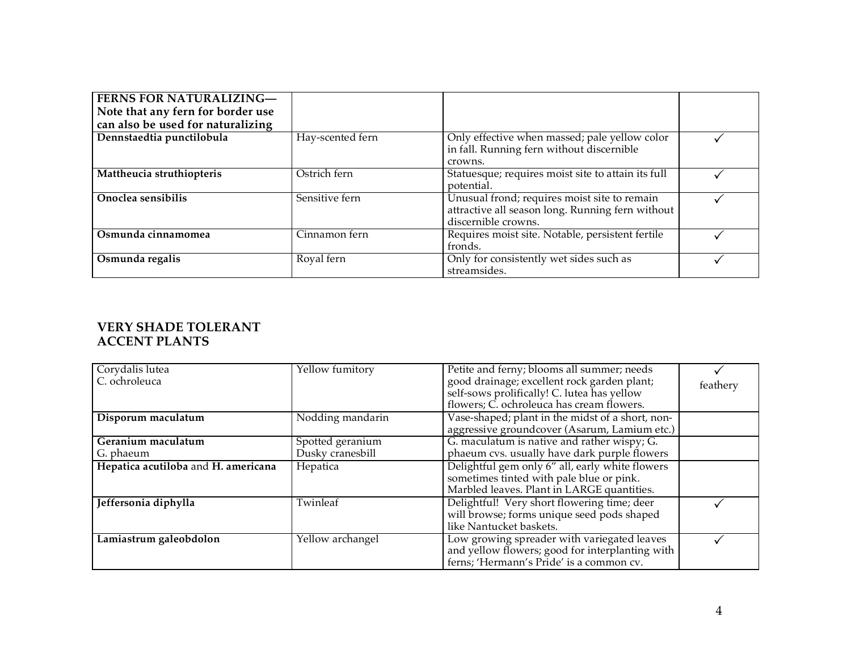| <b>FERNS FOR NATURALIZING-</b>    |                  |                                                    |  |
|-----------------------------------|------------------|----------------------------------------------------|--|
| Note that any fern for border use |                  |                                                    |  |
| can also be used for naturalizing |                  |                                                    |  |
| Dennstaedtia punctilobula         | Hay-scented fern | Only effective when massed; pale yellow color      |  |
|                                   |                  | in fall. Running fern without discernible          |  |
|                                   |                  | crowns.                                            |  |
| Mattheucia struthiopteris         | Ostrich fern     | Statuesque; requires moist site to attain its full |  |
|                                   |                  | potential.                                         |  |
| Onoclea sensibilis                | Sensitive fern   | Unusual frond; requires moist site to remain       |  |
|                                   |                  | attractive all season long. Running fern without   |  |
|                                   |                  | discernible crowns.                                |  |
| Osmunda cinnamomea                | Cinnamon fern    | Requires moist site. Notable, persistent fertile   |  |
|                                   |                  | fronds.                                            |  |
| Osmunda regalis                   | Royal fern       | Only for consistently wet sides such as            |  |
|                                   |                  | streamsides.                                       |  |

# **VERY SHADE TOLERANT ACCENT PLANTS**

| Corydalis lutea                     | Yellow fumitory  | Petite and ferny; blooms all summer; needs       |          |
|-------------------------------------|------------------|--------------------------------------------------|----------|
| C. ochroleuca                       |                  | good drainage; excellent rock garden plant;      | feathery |
|                                     |                  | self-sows prolifically! C. lutea has yellow      |          |
|                                     |                  | flowers; C. ochroleuca has cream flowers.        |          |
| Disporum maculatum                  | Nodding mandarin | Vase-shaped; plant in the midst of a short, non- |          |
|                                     |                  | aggressive groundcover (Asarum, Lamium etc.)     |          |
| Geranium maculatum                  | Spotted geranium | G. maculatum is native and rather wispy; G.      |          |
| G. phaeum                           | Dusky cranesbill | phaeum cvs. usually have dark purple flowers     |          |
| Hepatica acutiloba and H. americana | Hepatica         | Delightful gem only 6" all, early white flowers  |          |
|                                     |                  | sometimes tinted with pale blue or pink.         |          |
|                                     |                  | Marbled leaves. Plant in LARGE quantities.       |          |
| Jeffersonia diphylla                | Twinleaf         | Delightful! Very short flowering time; deer      |          |
|                                     |                  | will browse; forms unique seed pods shaped       |          |
|                                     |                  | like Nantucket baskets.                          |          |
| Lamiastrum galeobdolon              | Yellow archangel | Low growing spreader with variegated leaves      |          |
|                                     |                  | and yellow flowers; good for interplanting with  |          |
|                                     |                  | ferns; 'Hermann's Pride' is a common cv.         |          |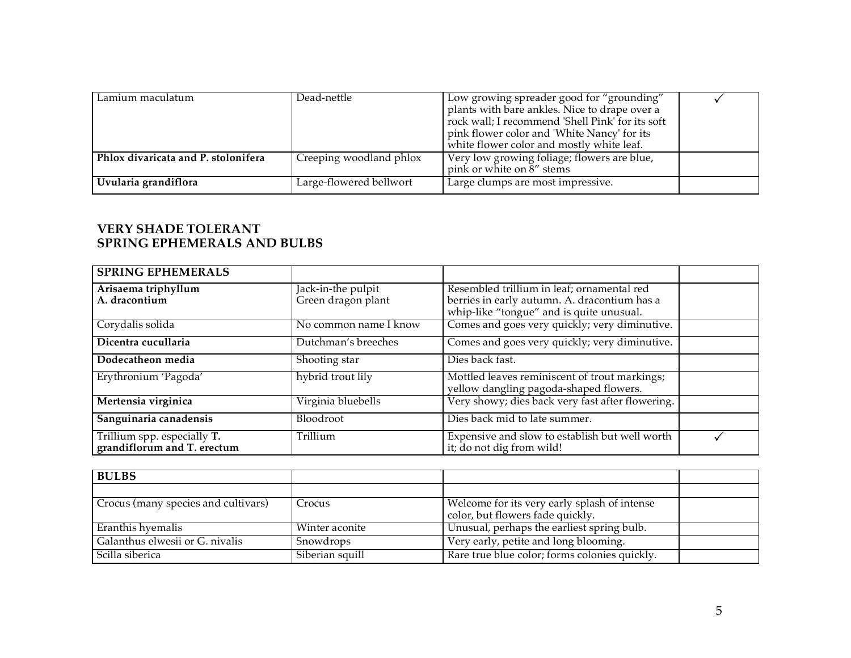| Lamium maculatum                    | Dead-nettle             | Low growing spreader good for "grounding"<br>plants with bare ankles. Nice to drape over a<br>rock wall; I recommend 'Shell Pink' for its soft<br>pink flower color and 'White Nancy' for its<br>white flower color and mostly white leaf. |  |
|-------------------------------------|-------------------------|--------------------------------------------------------------------------------------------------------------------------------------------------------------------------------------------------------------------------------------------|--|
| Phlox divaricata and P. stolonifera | Creeping woodland phlox | Very low growing foliage; flowers are blue,<br>pink or white on 8" stems                                                                                                                                                                   |  |
| Uvularia grandiflora                | Large-flowered bellwort | Large clumps are most impressive.                                                                                                                                                                                                          |  |

# **VERY SHADE TOLERANT SPRING EPHEMERALS AND BULBS**

| <b>SPRING EPHEMERALS</b>                                   |                       |                                                                                          |  |
|------------------------------------------------------------|-----------------------|------------------------------------------------------------------------------------------|--|
| Arisaema triphyllum                                        | Jack-in-the pulpit    | Resembled trillium in leaf; ornamental red                                               |  |
| A. dracontium                                              | Green dragon plant    | berries in early autumn. A. dracontium has a<br>whip-like "tongue" and is quite unusual. |  |
| Corydalis solida                                           | No common name I know | Comes and goes very quickly; very diminutive.                                            |  |
| Dicentra cucullaria                                        | Dutchman's breeches   | Comes and goes very quickly; very diminutive.                                            |  |
| Dodecatheon media                                          | Shooting star         | Dies back fast.                                                                          |  |
| Erythronium 'Pagoda'                                       | hybrid trout lily     | Mottled leaves reminiscent of trout markings;<br>yellow dangling pagoda-shaped flowers.  |  |
| Mertensia virginica                                        | Virginia bluebells    | Very showy; dies back very fast after flowering.                                         |  |
| Sanguinaria canadensis                                     | Bloodroot             | Dies back mid to late summer.                                                            |  |
| Trillium spp. especially T.<br>grandiflorum and T. erectum | Trillium              | Expensive and slow to establish but well worth<br>it; do not dig from wild!              |  |

| <b>BULBS</b>                        |                 |                                               |  |
|-------------------------------------|-----------------|-----------------------------------------------|--|
|                                     |                 |                                               |  |
| Crocus (many species and cultivars) | Crocus          | Welcome for its very early splash of intense  |  |
|                                     |                 | color, but flowers fade quickly.              |  |
| Eranthis hyemalis                   | Winter aconite  | Unusual, perhaps the earliest spring bulb.    |  |
| Galanthus elwesii or G. nivalis     | Snowdrops       | Very early, petite and long blooming.         |  |
| Scilla siberica                     | Siberian squill | Rare true blue color; forms colonies quickly. |  |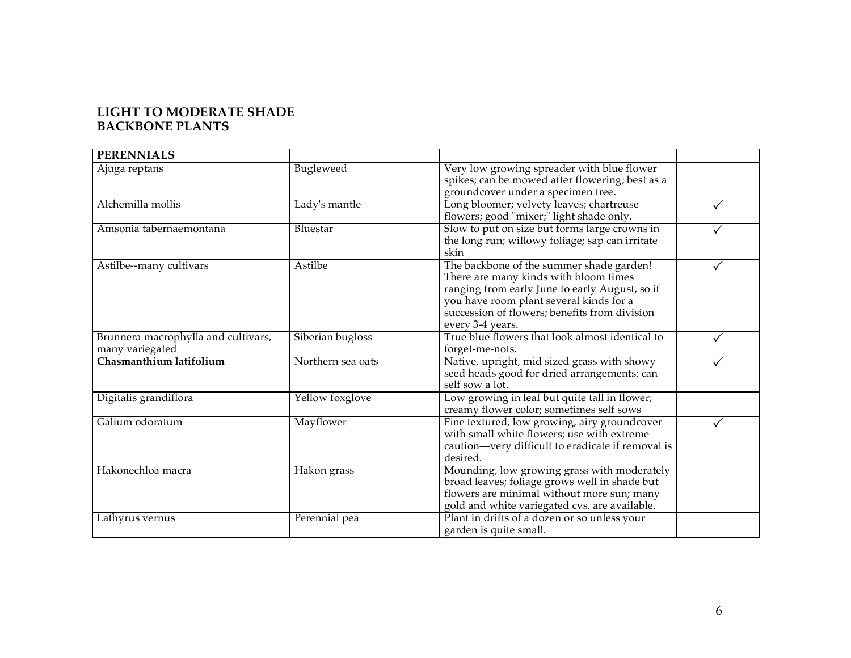# **LIGHT TO MODERATE SHADE BACKBONE PLANTS**

| <b>PERENNIALS</b>                                      |                   |                                                                                                                                                                                                                                                     |  |
|--------------------------------------------------------|-------------------|-----------------------------------------------------------------------------------------------------------------------------------------------------------------------------------------------------------------------------------------------------|--|
| Ajuga reptans                                          | Bugleweed         | Very low growing spreader with blue flower<br>spikes; can be mowed after flowering; best as a<br>groundcover under a specimen tree.                                                                                                                 |  |
| Alchemilla mollis                                      | Lady's mantle     | Long bloomer; velvety leaves; chartreuse<br>flowers; good "mixer;" light shade only.                                                                                                                                                                |  |
| Amsonia tabernaemontana                                | Bluestar          | Slow to put on size but forms large crowns in<br>the long run; willowy foliage; sap can irritate<br>skin                                                                                                                                            |  |
| Astilbe--many cultivars                                | Astilbe           | The backbone of the summer shade garden!<br>There are many kinds with bloom times<br>ranging from early June to early August, so if<br>you have room plant several kinds for a<br>succession of flowers; benefits from division<br>every 3-4 years. |  |
| Brunnera macrophylla and cultivars,<br>many variegated | Siberian bugloss  | True blue flowers that look almost identical to<br>forget-me-nots.                                                                                                                                                                                  |  |
| Chasmanthium latifolium                                | Northern sea oats | Native, upright, mid sized grass with showy<br>seed heads good for dried arrangements; can<br>self sow a lot.                                                                                                                                       |  |
| Digitalis grandiflora                                  | Yellow foxglove   | Low growing in leaf but quite tall in flower;<br>creamy flower color; sometimes self sows                                                                                                                                                           |  |
| Galium odoratum                                        | Mayflower         | Fine textured, low growing, airy groundcover<br>with small white flowers; use with extreme<br>caution-very difficult to eradicate if removal is<br>desired.                                                                                         |  |
| Hakonechloa macra                                      | Hakon grass       | Mounding, low growing grass with moderately<br>broad leaves; foliage grows well in shade but<br>flowers are minimal without more sun; many<br>gold and white variegated cvs. are available.                                                         |  |
| Lathyrus vernus                                        | Perennial pea     | Plant in drifts of a dozen or so unless your<br>garden is quite small.                                                                                                                                                                              |  |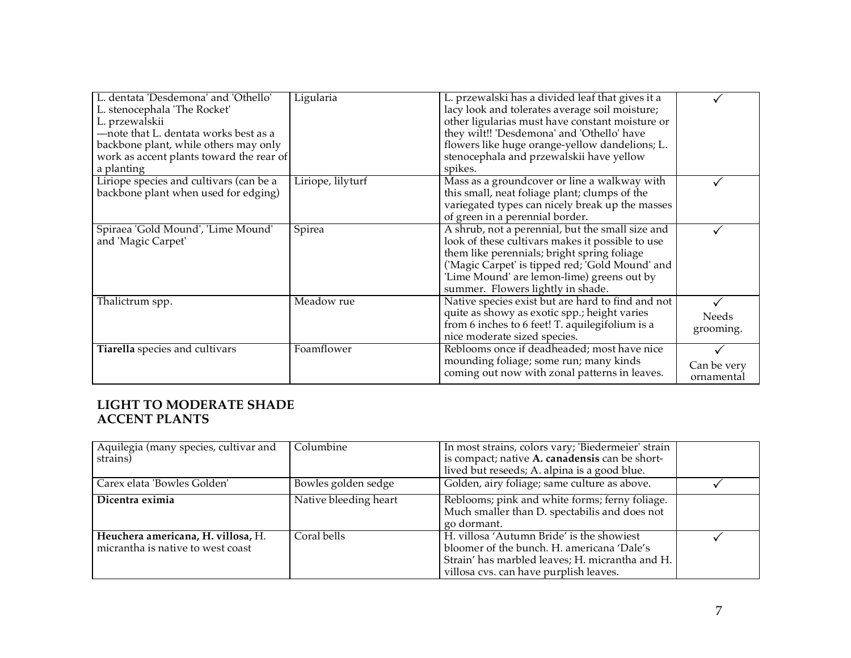| L. dentata 'Desdemona' and 'Othello'<br>L. stenocephala 'The Rocket'<br>L. przewalskii<br>-note that L. dentata works best as a<br>backbone plant, while others may only | Ligularia         | L. przewalski has a divided leaf that gives it a<br>lacy look and tolerates average soil moisture;<br>other ligularias must have constant moisture or<br>they wilt!! 'Desdemona' and 'Othello' have<br>flowers like huge orange-yellow dandelions; L.                                    |                           |
|--------------------------------------------------------------------------------------------------------------------------------------------------------------------------|-------------------|------------------------------------------------------------------------------------------------------------------------------------------------------------------------------------------------------------------------------------------------------------------------------------------|---------------------------|
| work as accent plants toward the rear of<br>a planting                                                                                                                   |                   | stenocephala and przewalskii have yellow<br>spikes.                                                                                                                                                                                                                                      |                           |
| Liriope species and cultivars (can be a<br>backbone plant when used for edging)                                                                                          | Liriope, lilyturf | Mass as a groundcover or line a walkway with<br>this small, neat foliage plant; clumps of the<br>variegated types can nicely break up the masses<br>of green in a perennial border.                                                                                                      |                           |
| Spiraea 'Gold Mound', 'Lime Mound'<br>and 'Magic Carpet'                                                                                                                 | Spirea            | A shrub, not a perennial, but the small size and<br>look of these cultivars makes it possible to use<br>them like perennials; bright spring foliage<br>('Magic Carpet' is tipped red; Gold Mound' and<br>'Lime Mound' are lemon-lime) greens out by<br>summer. Flowers lightly in shade. |                           |
| Thalictrum spp.                                                                                                                                                          | Meadow rue        | Native species exist but are hard to find and not<br>quite as showy as exotic spp.; height varies<br>from 6 inches to 6 feet! T. aquilegifolium is a<br>nice moderate sized species.                                                                                                     | Needs<br>grooming.        |
| Tiarella species and cultivars                                                                                                                                           | Foamflower        | Reblooms once if deadheaded; most have nice<br>mounding foliage; some run; many kinds<br>coming out now with zonal patterns in leaves.                                                                                                                                                   | Can be very<br>ornamental |

### **LIGHT TO MODERATE SHADE ACCENT PLANTS**

| Aquilegia (many species, cultivar and<br>strains)                       | Columbine             | In most strains, colors vary; 'Biedermeier' strain<br>is compact; native A. canadensis can be short-<br>lived but reseeds; A. alpina is a good blue.                                 |  |
|-------------------------------------------------------------------------|-----------------------|--------------------------------------------------------------------------------------------------------------------------------------------------------------------------------------|--|
| Carex elata 'Bowles Golden'                                             | Bowles golden sedge   | Golden, airy foliage; same culture as above.                                                                                                                                         |  |
| Dicentra eximia                                                         | Native bleeding heart | Reblooms; pink and white forms; ferny foliage.<br>Much smaller than D. spectabilis and does not<br>go dormant.                                                                       |  |
| Heuchera americana, H. villosa, H.<br>micrantha is native to west coast | Coral bells           | H. villosa 'Autumn Bride' is the showiest<br>bloomer of the bunch. H. americana 'Dale's<br>Strain' has marbled leaves; H. micrantha and H.<br>villosa cvs. can have purplish leaves. |  |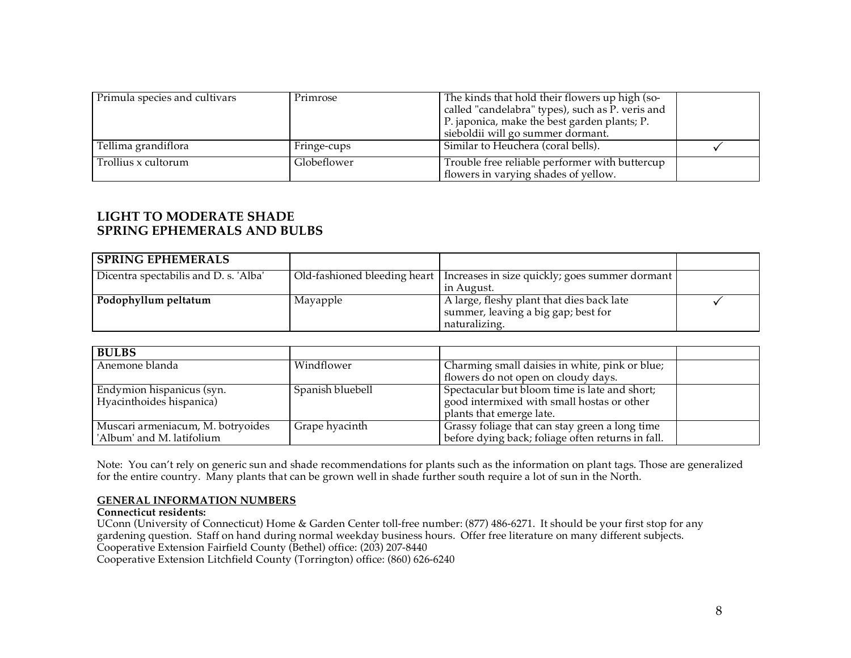| Primula species and cultivars | Primrose    | The kinds that hold their flowers up high (so-<br>called "candelabra" types), such as P. veris and<br>P. japonica, make the best garden plants; P.<br>sieboldii will go summer dormant. |  |
|-------------------------------|-------------|-----------------------------------------------------------------------------------------------------------------------------------------------------------------------------------------|--|
| Tellima grandiflora           | Fringe-cups | Similar to Heuchera (coral bells).                                                                                                                                                      |  |
| Trollius x cultorum           | Globeflower | Trouble free reliable performer with buttercup<br>flowers in varying shades of yellow.                                                                                                  |  |

# **LIGHT TO MODERATE SHADE SPRING EPHEMERALS AND BULBS**

| <b>SPRING EPHEMERALS</b>              |          |                                                                                                   |  |
|---------------------------------------|----------|---------------------------------------------------------------------------------------------------|--|
| Dicentra spectabilis and D. s. 'Alba' |          | Old-fashioned bleeding heart   Increases in size quickly; goes summer dormant  <br>in August.     |  |
| Podophyllum peltatum                  | Mayapple | A large, fleshy plant that dies back late<br>summer, leaving a big gap; best for<br>naturalizing. |  |

| <b>BULBS</b>                      |                  |                                                   |  |
|-----------------------------------|------------------|---------------------------------------------------|--|
| Anemone blanda                    | Windflower       | Charming small daisies in white, pink or blue;    |  |
|                                   |                  | flowers do not open on cloudy days.               |  |
| Endymion hispanicus (syn.         | Spanish bluebell | Spectacular but bloom time is late and short;     |  |
| Hyacinthoides hispanica)          |                  | good intermixed with small hostas or other        |  |
|                                   |                  | plants that emerge late.                          |  |
| Muscari armeniacum, M. botryoides | Grape hyacinth   | Grassy foliage that can stay green a long time    |  |
| 'Album' and M. latifolium         |                  | before dying back; foliage often returns in fall. |  |

Note: You can't rely on generic sun and shade recommendations for plants such as the information on plant tags. Those are generalized for the entire country. Many plants that can be grown well in shade further south require a lot of sun in the North.

#### **GENERAL INFORMATION NUMBERS**

# **Connecticut residents:**

UConn (University of Connecticut) Home & Garden Center toll-free number: (877) 486-6271. It should be your first stop for any gardening question. Staff on hand during normal weekday business hours. Offer free literature on many different subjects. Cooperative Extension Fairfield County (Bethel) office: (203) 207-8440

Cooperative Extension Litchfield County (Torrington) office: (860) 626-6240